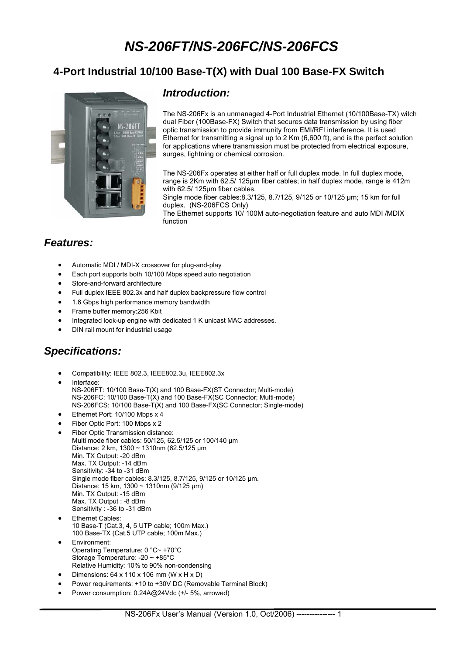# *NS-206FT/NS-206FC/NS-206FCS*

### **4-Port Industrial 10/100 Base-T(X) with Dual 100 Base-FX Switch**



#### *Introduction:*

The NS-206Fx is an unmanaged 4-Port Industrial Ethernet (10/100Base-TX) witch dual Fiber (100Base-FX) Switch that secures data transmission by using fiber optic transmission to provide immunity from EMI/RFI interference. It is used Ethernet for transmitting a signal up to 2 Km (6,600 ft), and is the perfect solution for applications where transmission must be protected from electrical exposure, surges, lightning or chemical corrosion.

The NS-206Fx operates at either half or full duplex mode. In full duplex mode, range is 2Km with 62.5/ 125μm fiber cables; in half duplex mode, range is 412m with 62.5/ 125um fiber cables.

Single mode fiber cables:8.3/125, 8.7/125, 9/125 or 10/125 μm; 15 km for full duplex. (NS-206FCS Only)

The Ethernet supports 10/ 100M auto-negotiation feature and auto MDI /MDIX function

#### *Features:*

- Automatic MDI / MDI-X crossover for plug-and-play
- Each port supports both 10/100 Mbps speed auto negotiation
- Store-and-forward architecture
- Full duplex IEEE 802.3x and half duplex backpressure flow control
- 1.6 Gbps high performance memory bandwidth
- Frame buffer memory:256 Kbit
- Integrated look-up engine with dedicated 1 K unicast MAC addresses.
- DIN rail mount for industrial usage

### *Specifications:*

- Compatibility: IEEE 802.3, IEEE802.3u, IEEE802.3x
- Interface: NS-206FT: 10/100 Base-T(X) and 100 Base-FX(ST Connector; Multi-mode) NS-206FC: 10/100 Base-T(X) and 100 Base-FX(SC Connector; Multi-mode) NS-206FCS: 10/100 Base-T(X) and 100 Base-FX(SC Connector; Single-mode)
- Ethernet Port: 10/100 Mbps x 4
- Fiber Optic Port: 100 Mbps x 2
- Fiber Optic Transmission distance: Multi mode fiber cables: 50/125, 62.5/125 or 100/140 μm Distance: 2 km, 1300 ~ 1310nm (62.5/125 μm Min. TX Output: -20 dBm Max. TX Output: -14 dBm Sensitivity: -34 to -31 dBm Single mode fiber cables: 8.3/125, 8.7/125, 9/125 or 10/125 μm. Distance: 15 km, 1300 ~ 1310nm (9/125 μm) Min. TX Output: -15 dBm Max. TX Output : -8 dBm Sensitivity : -36 to -31 dBm
- Ethernet Cables: 10 Base-T (Cat.3, 4, 5 UTP cable; 100m Max.) 100 Base-TX (Cat.5 UTP cable; 100m Max.)
- Environment: Operating Temperature: 0 °C~ +70°C Storage Temperature: -20 ~ +85°C Relative Humidity: 10% to 90% non-condensing
- Dimensions: 64 x 110 x 106 mm (W x H x D)
- Power requirements: +10 to +30V DC (Removable Terminal Block)
- Power consumption: 0.24A@24Vdc (+/- 5%, arrowed)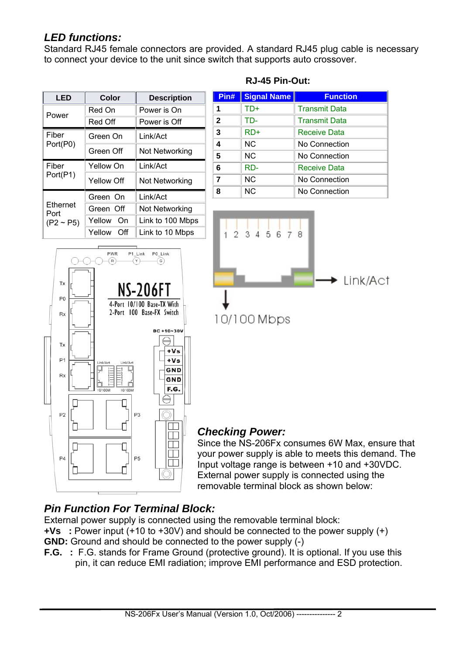### *LED functions:*

Standard RJ45 female connectors are provided. A standard RJ45 plug cable is necessary to connect your device to the unit since switch that supports auto crossover.

| LED                                | Color         | <b>Description</b> |
|------------------------------------|---------------|--------------------|
| Power                              | Red On        | Power is On        |
|                                    | Red Off       | Power is Off       |
| Fiber                              | Green On      | Link/Act           |
| Port(P0)                           | Green Off     | Not Networking     |
| Fiber<br>Port(P1)                  | Yellow On     | Link/Act           |
|                                    | Yellow Off    | Not Networking     |
| Ethernet<br>Port<br>$(P2 \sim P5)$ | Green On      | Link/Act           |
|                                    | Green Off     | Not Networking     |
|                                    | Yellow<br>On  | Link to 100 Mbps   |
|                                    | Yellow<br>Off | Link to 10 Mbps    |

#### **RJ-45 Pin-Out:**

| Pin#         | <b>Signal Name</b> | <b>Function</b>      |
|--------------|--------------------|----------------------|
| 1            | TD+                | <b>Transmit Data</b> |
| $\mathbf{2}$ | TD-                | <b>Transmit Data</b> |
| 3            | RD+                | <b>Receive Data</b>  |
| 4            | <b>NC</b>          | No Connection        |
| 5            | <b>NC</b>          | No Connection        |
| 6            | RD-                | <b>Receive Data</b>  |
| 7            | <b>NC</b>          | No Connection        |
| 8            | <b>NC</b>          | No Connection        |





### *Checking Power:*

Since the NS-206Fx consumes 6W Max, ensure that your power supply is able to meets this demand. The Input voltage range is between +10 and +30VDC. External power supply is connected using the removable terminal block as shown below:

### *Pin Function For Terminal Block:*

External power supply is connected using the removable terminal block:

**+Vs :** Power input (+10 to +30V) and should be connected to the power supply (+)

- **GND:** Ground and should be connected to the power supply (-)
- **F.G. :** F.G. stands for Frame Ground (protective ground). It is optional. If you use this pin, it can reduce EMI radiation; improve EMI performance and ESD protection.